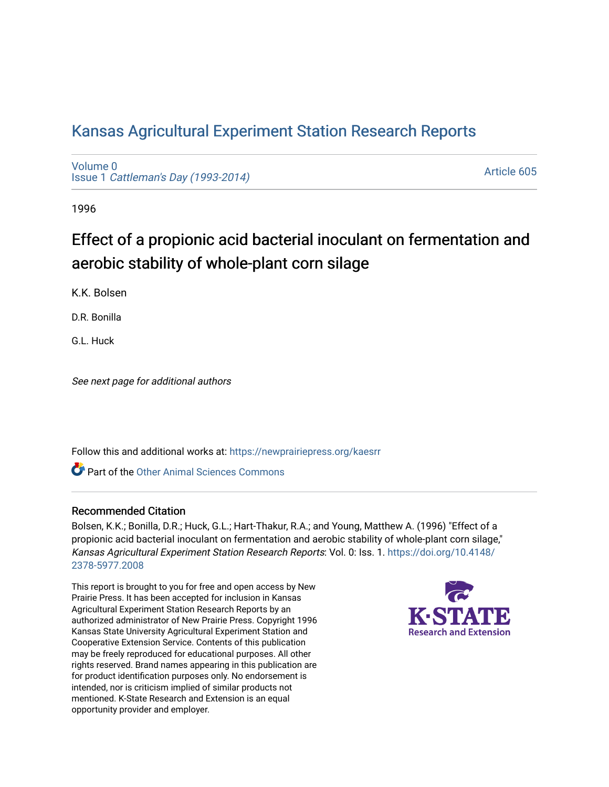# [Kansas Agricultural Experiment Station Research Reports](https://newprairiepress.org/kaesrr)

[Volume 0](https://newprairiepress.org/kaesrr/vol0) Issue 1 [Cattleman's Day \(1993-2014\)](https://newprairiepress.org/kaesrr/vol0/iss1) 

[Article 605](https://newprairiepress.org/kaesrr/vol0/iss1/605) 

1996

# Effect of a propionic acid bacterial inoculant on fermentation and aerobic stability of whole-plant corn silage

K.K. Bolsen

D.R. Bonilla

G.L. Huck

See next page for additional authors

Follow this and additional works at: [https://newprairiepress.org/kaesrr](https://newprairiepress.org/kaesrr?utm_source=newprairiepress.org%2Fkaesrr%2Fvol0%2Fiss1%2F605&utm_medium=PDF&utm_campaign=PDFCoverPages) 

Part of the [Other Animal Sciences Commons](http://network.bepress.com/hgg/discipline/82?utm_source=newprairiepress.org%2Fkaesrr%2Fvol0%2Fiss1%2F605&utm_medium=PDF&utm_campaign=PDFCoverPages)

#### Recommended Citation

Bolsen, K.K.; Bonilla, D.R.; Huck, G.L.; Hart-Thakur, R.A.; and Young, Matthew A. (1996) "Effect of a propionic acid bacterial inoculant on fermentation and aerobic stability of whole-plant corn silage," Kansas Agricultural Experiment Station Research Reports: Vol. 0: Iss. 1. [https://doi.org/10.4148/](https://doi.org/10.4148/2378-5977.2008) [2378-5977.2008](https://doi.org/10.4148/2378-5977.2008) 

This report is brought to you for free and open access by New Prairie Press. It has been accepted for inclusion in Kansas Agricultural Experiment Station Research Reports by an authorized administrator of New Prairie Press. Copyright 1996 Kansas State University Agricultural Experiment Station and Cooperative Extension Service. Contents of this publication may be freely reproduced for educational purposes. All other rights reserved. Brand names appearing in this publication are for product identification purposes only. No endorsement is intended, nor is criticism implied of similar products not mentioned. K-State Research and Extension is an equal opportunity provider and employer.

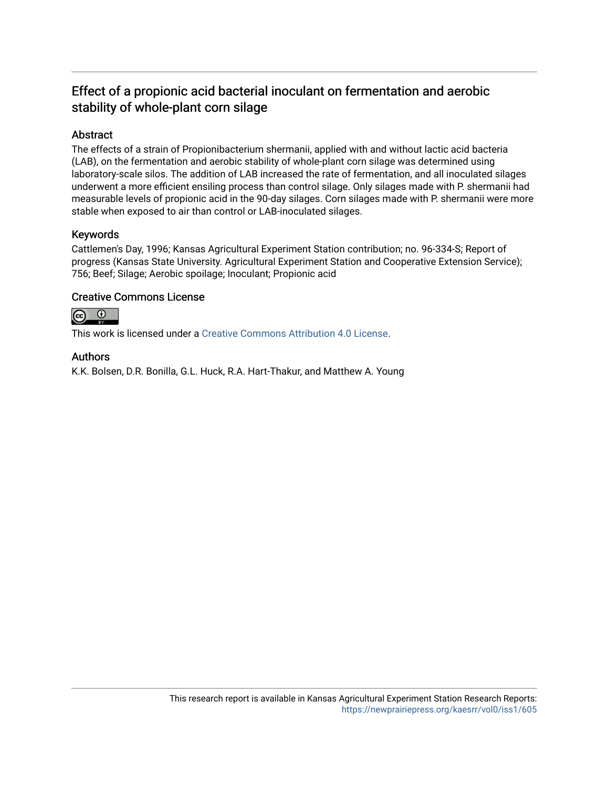# Effect of a propionic acid bacterial inoculant on fermentation and aerobic stability of whole-plant corn silage

# Abstract

The effects of a strain of Propionibacterium shermanii, applied with and without lactic acid bacteria (LAB), on the fermentation and aerobic stability of whole-plant corn silage was determined using laboratory-scale silos. The addition of LAB increased the rate of fermentation, and all inoculated silages underwent a more efficient ensiling process than control silage. Only silages made with P. shermanii had measurable levels of propionic acid in the 90-day silages. Corn silages made with P. shermanii were more stable when exposed to air than control or LAB-inoculated silages.

## Keywords

Cattlemen's Day, 1996; Kansas Agricultural Experiment Station contribution; no. 96-334-S; Report of progress (Kansas State University. Agricultural Experiment Station and Cooperative Extension Service); 756; Beef; Silage; Aerobic spoilage; Inoculant; Propionic acid

## Creative Commons License



This work is licensed under a [Creative Commons Attribution 4.0 License](https://creativecommons.org/licenses/by/4.0/).

## Authors

K.K. Bolsen, D.R. Bonilla, G.L. Huck, R.A. Hart-Thakur, and Matthew A. Young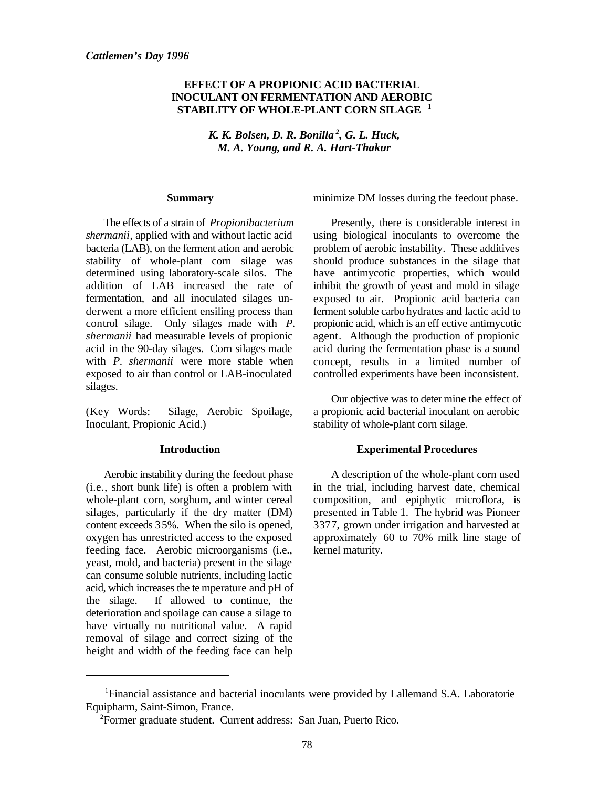#### **EFFECT OF A PROPIONIC ACID BACTERIAL INOCULANT ON FERMENTATION AND AEROBIC STABILITY OF WHOLE-PLANT CORN SILAGE <sup>1</sup>**

*K. K. Bolsen, D. R. Bonilla<sup>2</sup>, G. L. Huck, M. A. Young, and R. A. Hart-Thakur*

#### **Summary**

The effects of a strain of *Propionibacterium shermanii*, applied with and without lactic acid bacteria (LAB), on the ferment ation and aerobic stability of whole-plant corn silage was determined using laboratory-scale silos. The addition of LAB increased the rate of fermentation, and all inoculated silages underwent a more efficient ensiling process than control silage. Only silages made with *P. shermanii* had measurable levels of propionic acid in the 90-day silages. Corn silages made with *P. shermanii* were more stable when exposed to air than control or LAB-inoculated silages.

(Key Words: Silage, Aerobic Spoilage, Inoculant, Propionic Acid.)

#### **Introduction**

Aerobic instability during the feedout phase (i.e., short bunk life) is often a problem with whole-plant corn, sorghum, and winter cereal silages, particularly if the dry matter (DM) content exceeds 35%. When the silo is opened, oxygen has unrestricted access to the exposed feeding face. Aerobic microorganisms (i.e., yeast, mold, and bacteria) present in the silage can consume soluble nutrients, including lactic acid, which increases the te mperature and pH of the silage. If allowed to continue, the deterioration and spoilage can cause a silage to have virtually no nutritional value. A rapid removal of silage and correct sizing of the height and width of the feeding face can help

minimize DM losses during the feedout phase.

Presently, there is considerable interest in using biological inoculants to overcome the problem of aerobic instability. These additives should produce substances in the silage that have antimycotic properties, which would inhibit the growth of yeast and mold in silage exposed to air. Propionic acid bacteria can ferment soluble carbo hydrates and lactic acid to propionic acid, which is an eff ective antimycotic agent. Although the production of propionic acid during the fermentation phase is a sound concept, results in a limited number of controlled experiments have been inconsistent.

Our objective was to deter mine the effect of a propionic acid bacterial inoculant on aerobic stability of whole-plant corn silage.

#### **Experimental Procedures**

A description of the whole-plant corn used in the trial, including harvest date, chemical composition, and epiphytic microflora, is presented in Table 1. The hybrid was Pioneer 3377, grown under irrigation and harvested at approximately 60 to 70% milk line stage of kernel maturity.

<sup>&</sup>lt;sup>1</sup>Financial assistance and bacterial inoculants were provided by Lallemand S.A. Laboratorie Equipharm, Saint-Simon, France.

<sup>&</sup>lt;sup>2</sup>Former graduate student. Current address: San Juan, Puerto Rico.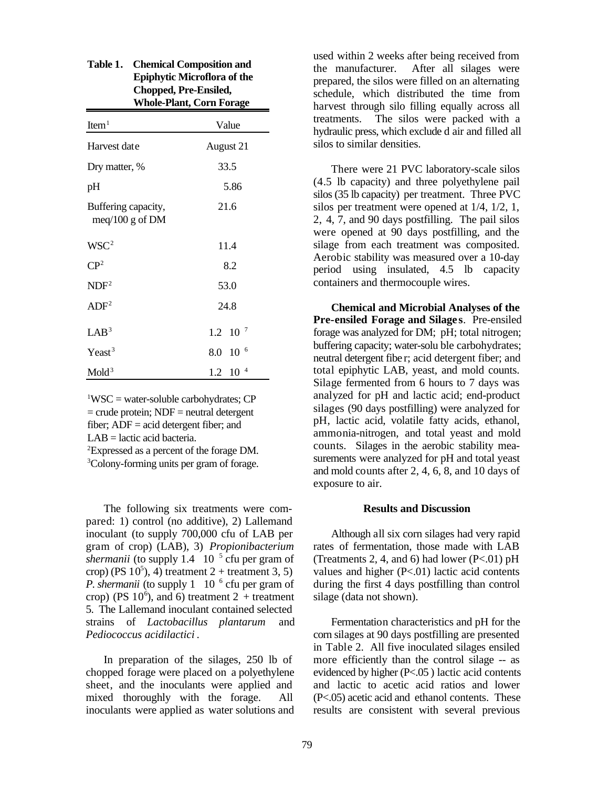|                                          | <b>Whole-Plant, Corn Forage</b> |  |  |  |  |
|------------------------------------------|---------------------------------|--|--|--|--|
| Item <sup>1</sup>                        | Value                           |  |  |  |  |
| Harvest date                             | August 21                       |  |  |  |  |
| Dry matter, %                            | 33.5                            |  |  |  |  |
| pH                                       | 5.86                            |  |  |  |  |
| Buffering capacity,<br>meq/100 g of $DM$ | 21.6                            |  |  |  |  |
| WSC <sup>2</sup>                         | 11.4                            |  |  |  |  |
| CP <sup>2</sup>                          | 8.2                             |  |  |  |  |
| NDF <sup>2</sup>                         | 53.0                            |  |  |  |  |
| ADF <sup>2</sup>                         | 24.8                            |  |  |  |  |
| LAB <sup>3</sup>                         | $1.2 \quad 10^{-7}$             |  |  |  |  |
| $Y$ east <sup>3</sup>                    | 6<br>8.0 10                     |  |  |  |  |
| Mold <sup>3</sup>                        | $1.2 \quad 10^{-4}$             |  |  |  |  |

| Table 1. Chemical Composition and  |
|------------------------------------|
| <b>Epiphytic Microflora of the</b> |
| Chopped, Pre-Ensiled,              |
| <b>Whole-Plant, Corn Forage</b>    |

 $\text{WSC}$  = water-soluble carbohydrates; CP  $=$  crude protein; NDF  $=$  neutral detergent fiber; ADF = acid detergent fiber; and  $LAB =$ lactic acid bacteria.

 ${}^{2}$ Expressed as a percent of the forage DM. <sup>3</sup>Colony-forming units per gram of forage.

The following six treatments were compared: 1) control (no additive), 2) Lallemand inoculant (to supply 700,000 cfu of LAB per gram of crop) (LAB), 3) *Propionibacterium shermanii* (to supply 1.4  $10^{-5}$  cfu per gram of crop) (PS  $10^5$ ), 4) treatment 2 + treatment 3, 5) *P. shermanii* (to supply 1  $10^{-6}$  cfu per gram of crop) (PS  $10^6$ ), and 6) treatment 2 + treatment 5. The Lallemand inoculant contained selected strains of *Lactobacillus plantarum* and *Pediococcus acidilactici* .

In preparation of the silages, 250 lb of chopped forage were placed on a polyethylene sheet, and the inoculants were applied and mixed thoroughly with the forage. All inoculants were applied as water solutions and used within 2 weeks after being received from the manufacturer. After all silages were prepared, the silos were filled on an alternating schedule, which distributed the time from harvest through silo filling equally across all treatments. The silos were packed with a hydraulic press, which exclude d air and filled all silos to similar densities.

There were 21 PVC laboratory-scale silos (4.5 lb capacity) and three polyethylene pail silos (35 lb capacity) per treatment. Three PVC silos per treatment were opened at 1/4, 1/2, 1, 2, 4, 7, and 90 days postfilling. The pail silos were opened at 90 days postfilling, and the silage from each treatment was composited. Aerobic stability was measured over a 10-day period using insulated, 4.5 lb capacity containers and thermocouple wires.

**Chemical and Microbial Analyses of the Pre-ensiled Forage and Silages**. Pre-ensiled forage was analyzed for DM; pH; total nitrogen; buffering capacity; water-solu ble carbohydrates; neutral detergent fibe r; acid detergent fiber; and total epiphytic LAB, yeast, and mold counts. Silage fermented from 6 hours to 7 days was analyzed for pH and lactic acid; end-product silages (90 days postfilling) were analyzed for pH, lactic acid, volatile fatty acids, ethanol, ammonia-nitrogen, and total yeast and mold counts. Silages in the aerobic stability measurements were analyzed for pH and total yeast and mold counts after 2, 4, 6, 8, and 10 days of exposure to air.

#### **Results and Discussion**

Although all six corn silages had very rapid rates of fermentation, those made with LAB (Treatments 2, 4, and 6) had lower  $(P<.01)$  pH values and higher (P<.01) lactic acid contents during the first 4 days postfilling than control silage (data not shown).

Fermentation characteristics and pH for the corn silages at 90 days postfilling are presented in Table 2. All five inoculated silages ensiled more efficiently than the control silage -- as evidenced by higher (P<.05 ) lactic acid contents and lactic to acetic acid ratios and lower (P<.05) acetic acid and ethanol contents. These results are consistent with several previous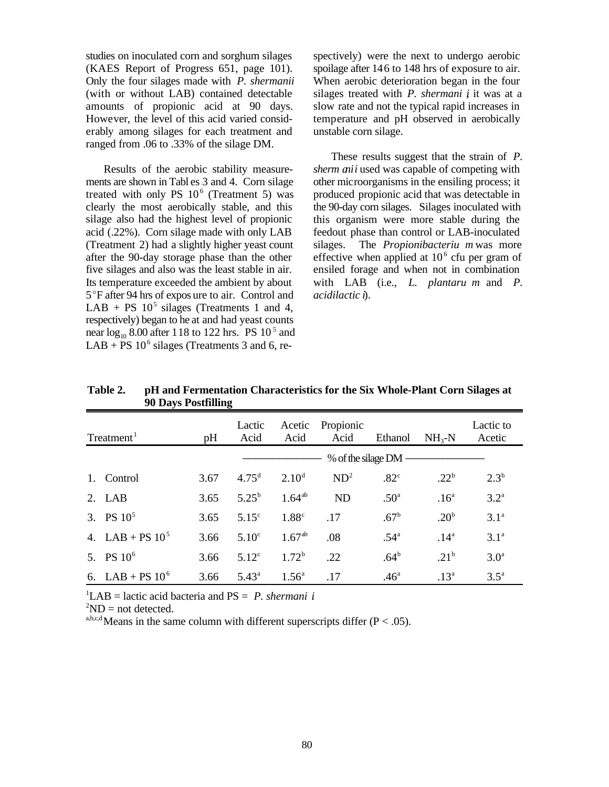studies on inoculated corn and sorghum silages (KAES Report of Progress 651, page 101). Only the four silages made with *P. shermanii* (with or without LAB) contained detectable amounts of propionic acid at 90 days. However, the level of this acid varied considerably among silages for each treatment and ranged from .06 to .33% of the silage DM.

Results of the aerobic stability measurements are shown in Tabl es 3 and 4. Corn silage treated with only PS  $10^6$  (Treatment 5) was clearly the most aerobically stable, and this silage also had the highest level of propionic acid (.22%). Corn silage made with only LAB (Treatment 2) had a slightly higher yeast count after the 90-day storage phase than the other five silages and also was the least stable in air. Its temperature exceeded the ambient by about 5°F after 94 hrs of expos ure to air. Control and LAB + PS  $10<sup>5</sup>$  silages (Treatments 1 and 4, respectively) began to he at and had yeast counts near  $log_{10}$  8.00 after 118 to 122 hrs. PS 10<sup>5</sup> and  $LAB + PS 10^6$  silages (Treatments 3 and 6, respectively) were the next to undergo aerobic spoilage after 146 to 148 hrs of exposure to air. When aerobic deterioration began in the four silages treated with *P. shermani i* it was at a slow rate and not the typical rapid increases in temperature and pH observed in aerobically unstable corn silage.

These results suggest that the strain of *P. sherm anii* used was capable of competing with other microorganisms in the ensiling process; it produced propionic acid that was detectable in the 90-day corn silages. Silages inoculated with this organism were more stable during the feedout phase than control or LAB-inoculated silages. The *Propionibacteriu m* was more effective when applied at  $10<sup>6</sup>$  cfu per gram of ensiled forage and when not in combination with LAB (i.e., *L. plantaru m* and *P. acidilactic i*).

| Treatment <sup>1</sup><br>pH |                    |      | Lactic<br>Acid    | Acetic<br>Acid    | Propionic<br>Acid | Ethanol          | $NH_{3}-N$       | Lactic to<br>Acetic |
|------------------------------|--------------------|------|-------------------|-------------------|-------------------|------------------|------------------|---------------------|
|                              |                    |      |                   |                   |                   |                  |                  |                     |
|                              | 1. Control         | 3.67 | 4.75 <sup>d</sup> | $2.10^d$          | ND <sup>2</sup>   | .82 <sup>c</sup> | $.22^{b}$        | $2.3^{b}$           |
|                              | $2. \text{LAB}$    | 3.65 | $5.25^{b}$        | $1.64^{ab}$       | <b>ND</b>         | .50 <sup>a</sup> | .16 <sup>a</sup> | 3.2 <sup>a</sup>    |
|                              | 3. PS $10^5$       | 3.65 | 5.15 <sup>c</sup> | 1.88 <sup>c</sup> | .17               | $.67^{\rm b}$    | .20 <sup>b</sup> | 3.1 <sup>a</sup>    |
|                              | 4. LAB + PS $10^5$ | 3.66 | 5.10 <sup>c</sup> | $1.67^{ab}$       | .08               | .54 <sup>a</sup> | .14 <sup>a</sup> | 3.1 <sup>a</sup>    |
|                              | 5. PS $10^6$       | 3.66 | 5.12 <sup>c</sup> | 1.72 <sup>b</sup> | .22               | .64 <sup>b</sup> | $.21^{b}$        | 3.0 <sup>a</sup>    |
|                              | 6. LAB + PS $10^6$ | 3.66 | $5.43^{\circ}$    | $1.56^{\circ}$    | .17               | .46 <sup>a</sup> | .13 <sup>a</sup> | $3.5^{\mathrm{a}}$  |

**Table 2. pH and Fermentation Characteristics for the Six Whole-Plant Corn Silages at 90 Days Postfilling**

<sup>1</sup>LAB = lactic acid bacteria and  $PS = P$ . *shermani i* 

 $^2$ ND = not detected.

a,b,c,d Means in the same column with different superscripts differ ( $P < .05$ ).